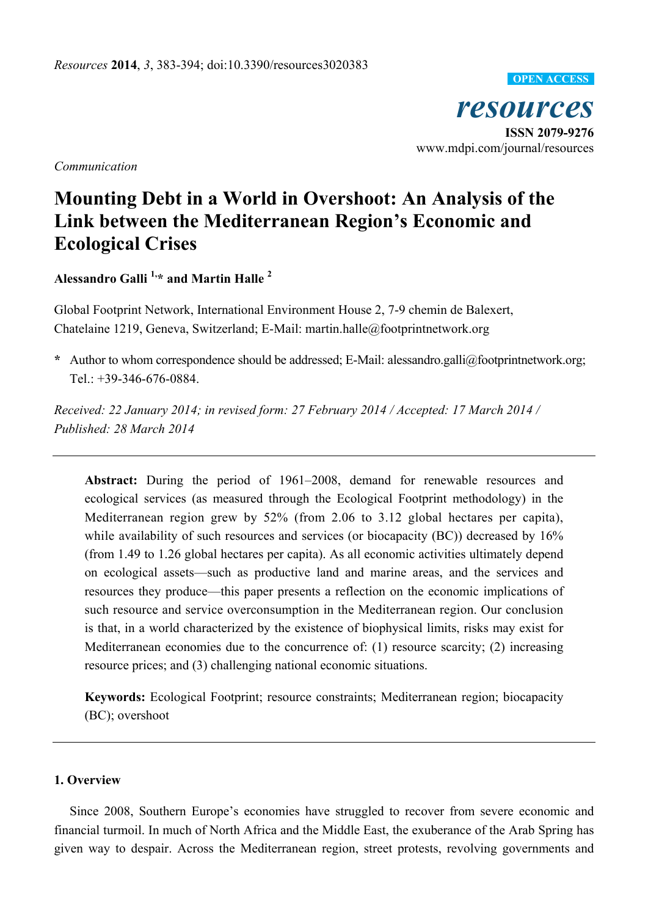*resources*  **ISSN 2079-9276**  www.mdpi.com/journal/resources **OPEN ACCESS**

*Communication* 

# **Mounting Debt in a World in Overshoot: An Analysis of the Link between the Mediterranean Region's Economic and Ecological Crises**

**Alessandro Galli 1,\* and Martin Halle 2**

Global Footprint Network, International Environment House 2, 7-9 chemin de Balexert, Chatelaine 1219, Geneva, Switzerland; E-Mail: martin.halle@footprintnetwork.org

**\*** Author to whom correspondence should be addressed; E-Mail: alessandro.galli@footprintnetwork.org; Tel.:  $+39-346-676-0884$ .

*Received: 22 January 2014; in revised form: 27 February 2014 / Accepted: 17 March 2014 / Published: 28 March 2014* 

**Abstract:** During the period of 1961–2008, demand for renewable resources and ecological services (as measured through the Ecological Footprint methodology) in the Mediterranean region grew by 52% (from 2.06 to 3.12 global hectares per capita), while availability of such resources and services (or biocapacity (BC)) decreased by  $16\%$ (from 1.49 to 1.26 global hectares per capita). As all economic activities ultimately depend on ecological assets—such as productive land and marine areas, and the services and resources they produce—this paper presents a reflection on the economic implications of such resource and service overconsumption in the Mediterranean region. Our conclusion is that, in a world characterized by the existence of biophysical limits, risks may exist for Mediterranean economies due to the concurrence of: (1) resource scarcity; (2) increasing resource prices; and (3) challenging national economic situations.

**Keywords:** Ecological Footprint; resource constraints; Mediterranean region; biocapacity (BC); overshoot

## **1. Overview**

Since 2008, Southern Europe's economies have struggled to recover from severe economic and financial turmoil. In much of North Africa and the Middle East, the exuberance of the Arab Spring has given way to despair. Across the Mediterranean region, street protests, revolving governments and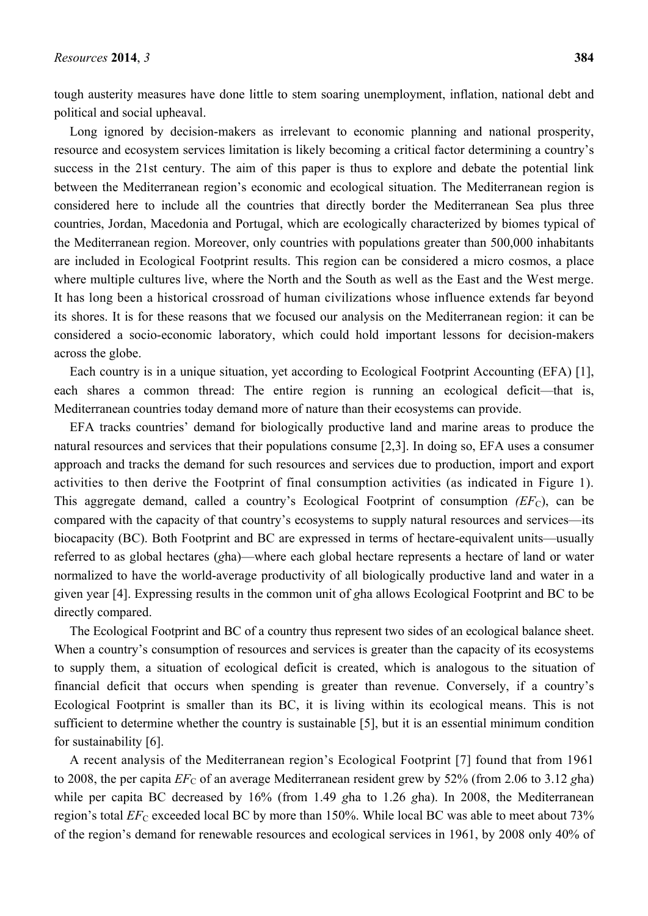tough austerity measures have done little to stem soaring unemployment, inflation, national debt and political and social upheaval.

Long ignored by decision-makers as irrelevant to economic planning and national prosperity, resource and ecosystem services limitation is likely becoming a critical factor determining a country's success in the 21st century. The aim of this paper is thus to explore and debate the potential link between the Mediterranean region's economic and ecological situation. The Mediterranean region is considered here to include all the countries that directly border the Mediterranean Sea plus three countries, Jordan, Macedonia and Portugal, which are ecologically characterized by biomes typical of the Mediterranean region. Moreover, only countries with populations greater than 500,000 inhabitants are included in Ecological Footprint results. This region can be considered a micro cosmos, a place where multiple cultures live, where the North and the South as well as the East and the West merge. It has long been a historical crossroad of human civilizations whose influence extends far beyond its shores. It is for these reasons that we focused our analysis on the Mediterranean region: it can be considered a socio-economic laboratory, which could hold important lessons for decision-makers across the globe.

Each country is in a unique situation, yet according to Ecological Footprint Accounting (EFA) [1], each shares a common thread: The entire region is running an ecological deficit—that is, Mediterranean countries today demand more of nature than their ecosystems can provide.

EFA tracks countries' demand for biologically productive land and marine areas to produce the natural resources and services that their populations consume [2,3]. In doing so, EFA uses a consumer approach and tracks the demand for such resources and services due to production, import and export activities to then derive the Footprint of final consumption activities (as indicated in Figure 1). This aggregate demand, called a country's Ecological Footprint of consumption *(EF<sub>C</sub>)*, can be compared with the capacity of that country's ecosystems to supply natural resources and services—its biocapacity (BC). Both Footprint and BC are expressed in terms of hectare-equivalent units—usually referred to as global hectares (*g*ha)—where each global hectare represents a hectare of land or water normalized to have the world-average productivity of all biologically productive land and water in a given year [4]. Expressing results in the common unit of *g*ha allows Ecological Footprint and BC to be directly compared.

The Ecological Footprint and BC of a country thus represent two sides of an ecological balance sheet. When a country's consumption of resources and services is greater than the capacity of its ecosystems to supply them, a situation of ecological deficit is created, which is analogous to the situation of financial deficit that occurs when spending is greater than revenue. Conversely, if a country's Ecological Footprint is smaller than its BC, it is living within its ecological means. This is not sufficient to determine whether the country is sustainable [5], but it is an essential minimum condition for sustainability [6].

A recent analysis of the Mediterranean region's Ecological Footprint [7] found that from 1961 to 2008, the per capita  $EF_C$  of an average Mediterranean resident grew by 52% (from 2.06 to 3.12 *gha*) while per capita BC decreased by 16% (from 1.49 *g*ha to 1.26 *g*ha). In 2008, the Mediterranean region's total  $EF_C$  exceeded local BC by more than 150%. While local BC was able to meet about 73% of the region's demand for renewable resources and ecological services in 1961, by 2008 only 40% of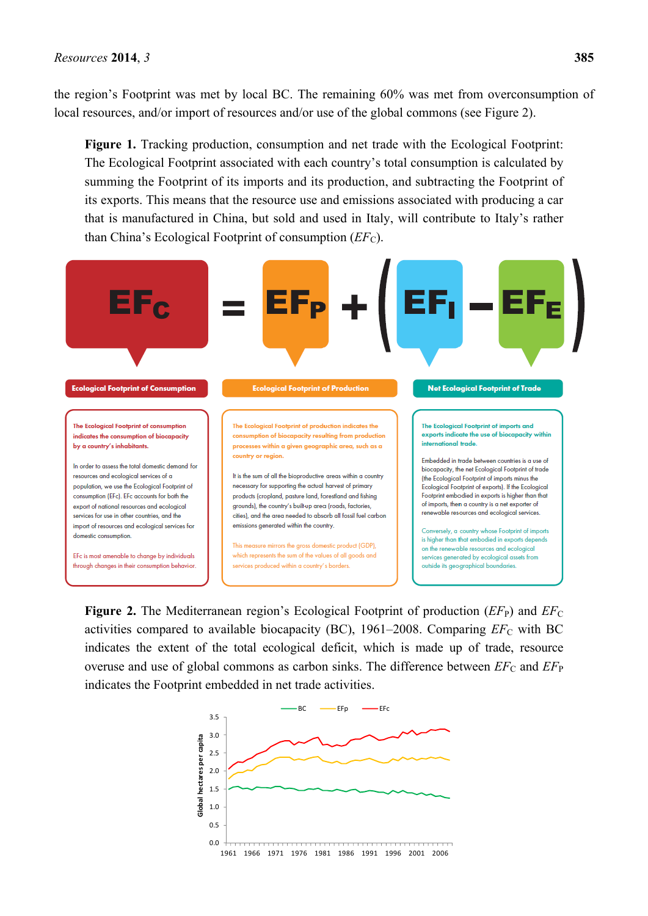the region's Footprint was met by local BC. The remaining 60% was met from overconsumption of local resources, and/or import of resources and/or use of the global commons (see Figure 2).

Figure 1. Tracking production, consumption and net trade with the Ecological Footprint: The Ecological Footprint associated with each country's total consumption is calculated by summing the Footprint of its imports and its production, and subtracting the Footprint of its exports. This means that the resource use and emissions associated with producing a car that is manufactured in China, but sold and used in Italy, will contribute to Italy's rather than China's Ecological Footprint of consumption (*EF<sub>C</sub>*).



**Figure 2.** The Mediterranean region's Ecological Footprint of production  $(EF_{P})$  and  $EF_{C}$ activities compared to available biocapacity (BC),  $1961-2008$ . Comparing  $EF_C$  with BC indicates the extent of the total ecological deficit, which is made up of trade, resource overuse and use of global commons as carbon sinks. The difference between  $EF_C$  and  $EF_P$ indicates the Footprint embedded in net trade activities.

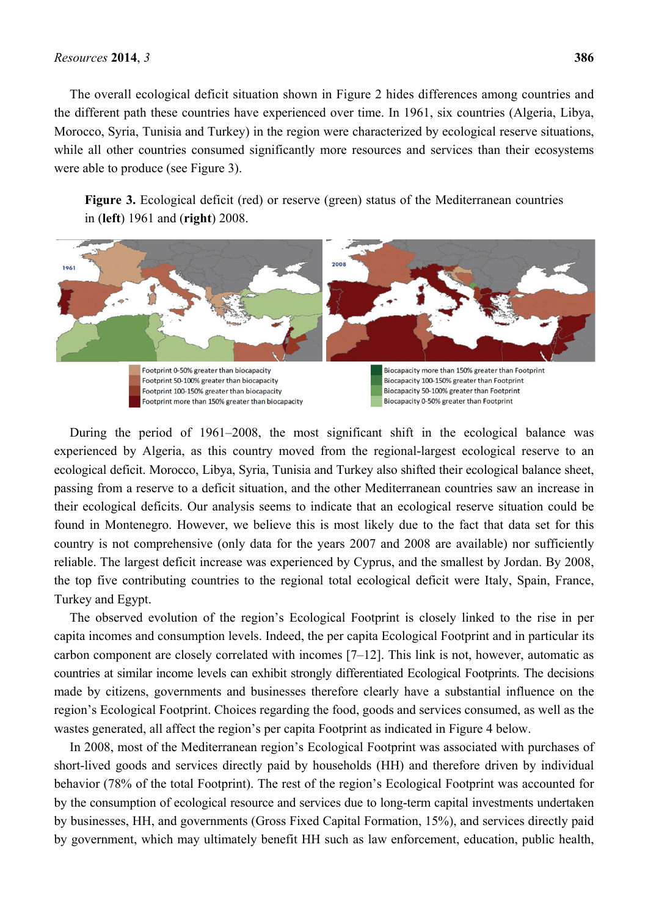#### *Resources* **2014**, *3* **386**

The overall ecological deficit situation shown in Figure 2 hides differences among countries and the different path these countries have experienced over time. In 1961, six countries (Algeria, Libya, Morocco, Syria, Tunisia and Turkey) in the region were characterized by ecological reserve situations, while all other countries consumed significantly more resources and services than their ecosystems were able to produce (see Figure 3).

**Figure 3.** Ecological deficit (red) or reserve (green) status of the Mediterranean countries in (**left**) 1961 and (**right**) 2008.



During the period of 1961–2008, the most significant shift in the ecological balance was experienced by Algeria, as this country moved from the regional-largest ecological reserve to an ecological deficit. Morocco, Libya, Syria, Tunisia and Turkey also shifted their ecological balance sheet, passing from a reserve to a deficit situation, and the other Mediterranean countries saw an increase in their ecological deficits. Our analysis seems to indicate that an ecological reserve situation could be found in Montenegro. However, we believe this is most likely due to the fact that data set for this country is not comprehensive (only data for the years 2007 and 2008 are available) nor sufficiently reliable. The largest deficit increase was experienced by Cyprus, and the smallest by Jordan. By 2008, the top five contributing countries to the regional total ecological deficit were Italy, Spain, France, Turkey and Egypt.

The observed evolution of the region's Ecological Footprint is closely linked to the rise in per capita incomes and consumption levels. Indeed, the per capita Ecological Footprint and in particular its carbon component are closely correlated with incomes [7–12]. This link is not, however, automatic as countries at similar income levels can exhibit strongly differentiated Ecological Footprints. The decisions made by citizens, governments and businesses therefore clearly have a substantial influence on the region's Ecological Footprint. Choices regarding the food, goods and services consumed, as well as the wastes generated, all affect the region's per capita Footprint as indicated in Figure 4 below.

In 2008, most of the Mediterranean region's Ecological Footprint was associated with purchases of short-lived goods and services directly paid by households (HH) and therefore driven by individual behavior (78% of the total Footprint). The rest of the region's Ecological Footprint was accounted for by the consumption of ecological resource and services due to long-term capital investments undertaken by businesses, HH, and governments (Gross Fixed Capital Formation, 15%), and services directly paid by government, which may ultimately benefit HH such as law enforcement, education, public health,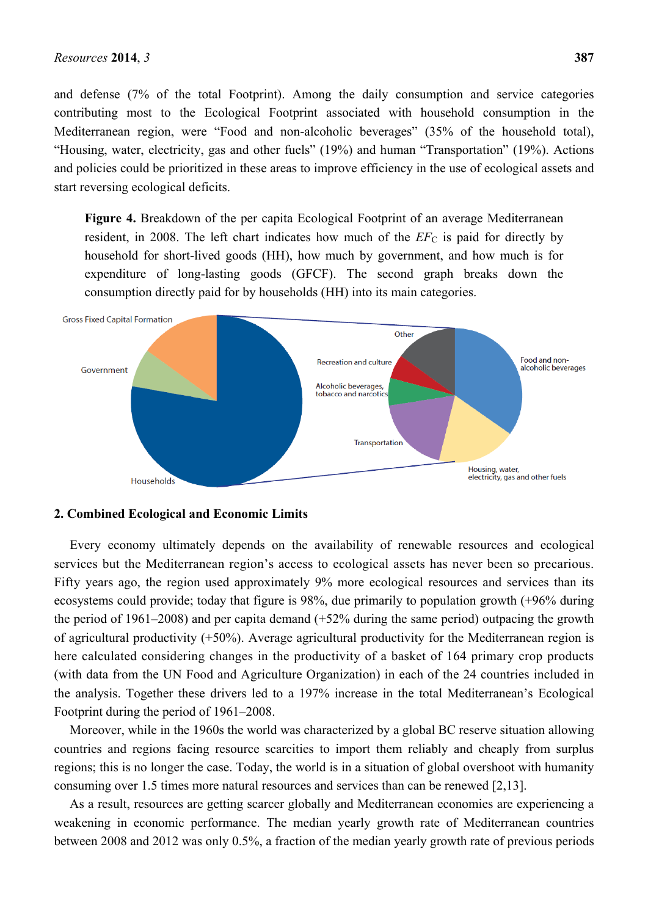and defense (7% of the total Footprint). Among the daily consumption and service categories contributing most to the Ecological Footprint associated with household consumption in the Mediterranean region, were "Food and non-alcoholic beverages" (35% of the household total), "Housing, water, electricity, gas and other fuels" (19%) and human "Transportation" (19%). Actions and policies could be prioritized in these areas to improve efficiency in the use of ecological assets and start reversing ecological deficits.

**Figure 4.** Breakdown of the per capita Ecological Footprint of an average Mediterranean resident, in 2008. The left chart indicates how much of the  $EF_C$  is paid for directly by household for short-lived goods (HH), how much by government, and how much is for expenditure of long-lasting goods (GFCF). The second graph breaks down the consumption directly paid for by households (HH) into its main categories.



#### **2. Combined Ecological and Economic Limits**

Every economy ultimately depends on the availability of renewable resources and ecological services but the Mediterranean region's access to ecological assets has never been so precarious. Fifty years ago, the region used approximately 9% more ecological resources and services than its ecosystems could provide; today that figure is 98%, due primarily to population growth (+96% during the period of 1961–2008) and per capita demand (+52% during the same period) outpacing the growth of agricultural productivity (+50%). Average agricultural productivity for the Mediterranean region is here calculated considering changes in the productivity of a basket of 164 primary crop products (with data from the UN Food and Agriculture Organization) in each of the 24 countries included in the analysis. Together these drivers led to a 197% increase in the total Mediterranean's Ecological Footprint during the period of 1961–2008.

Moreover, while in the 1960s the world was characterized by a global BC reserve situation allowing countries and regions facing resource scarcities to import them reliably and cheaply from surplus regions; this is no longer the case. Today, the world is in a situation of global overshoot with humanity consuming over 1.5 times more natural resources and services than can be renewed [2,13].

As a result, resources are getting scarcer globally and Mediterranean economies are experiencing a weakening in economic performance. The median yearly growth rate of Mediterranean countries between 2008 and 2012 was only 0.5%, a fraction of the median yearly growth rate of previous periods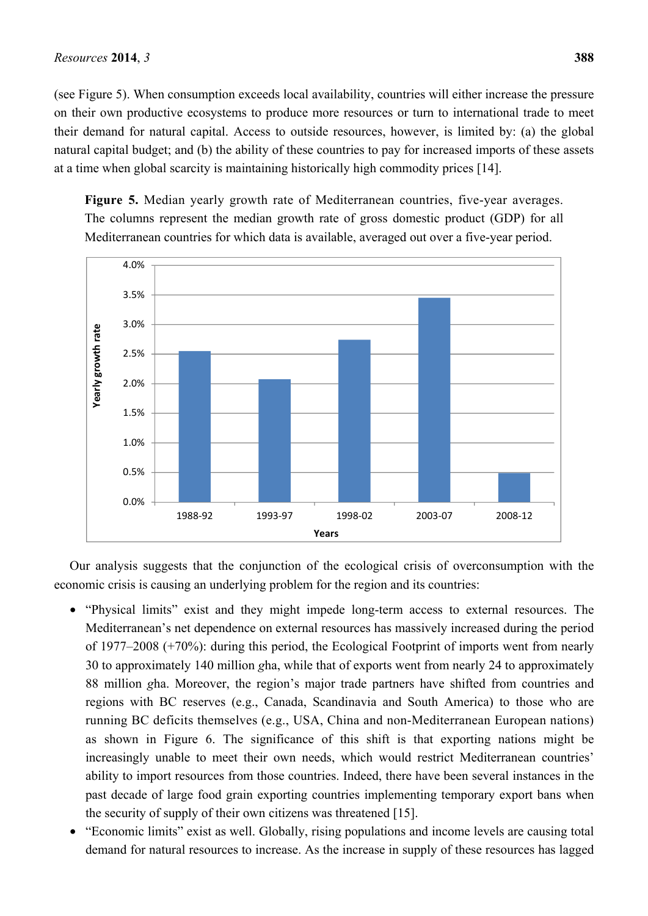(see Figure 5). When consumption exceeds local availability, countries will either increase the pressure on their own productive ecosystems to produce more resources or turn to international trade to meet their demand for natural capital. Access to outside resources, however, is limited by: (a) the global natural capital budget; and (b) the ability of these countries to pay for increased imports of these assets at a time when global scarcity is maintaining historically high commodity prices [14].

**Figure 5.** Median yearly growth rate of Mediterranean countries, five-year averages. The columns represent the median growth rate of gross domestic product (GDP) for all Mediterranean countries for which data is available, averaged out over a five-year period.



Our analysis suggests that the conjunction of the ecological crisis of overconsumption with the economic crisis is causing an underlying problem for the region and its countries:

- "Physical limits" exist and they might impede long-term access to external resources. The Mediterranean's net dependence on external resources has massively increased during the period of 1977–2008 (+70%): during this period, the Ecological Footprint of imports went from nearly 30 to approximately 140 million *g*ha, while that of exports went from nearly 24 to approximately 88 million *g*ha. Moreover, the region's major trade partners have shifted from countries and regions with BC reserves (e.g., Canada, Scandinavia and South America) to those who are running BC deficits themselves (e.g., USA, China and non-Mediterranean European nations) as shown in Figure 6. The significance of this shift is that exporting nations might be increasingly unable to meet their own needs, which would restrict Mediterranean countries' ability to import resources from those countries. Indeed, there have been several instances in the past decade of large food grain exporting countries implementing temporary export bans when the security of supply of their own citizens was threatened [15].
- "Economic limits" exist as well. Globally, rising populations and income levels are causing total demand for natural resources to increase. As the increase in supply of these resources has lagged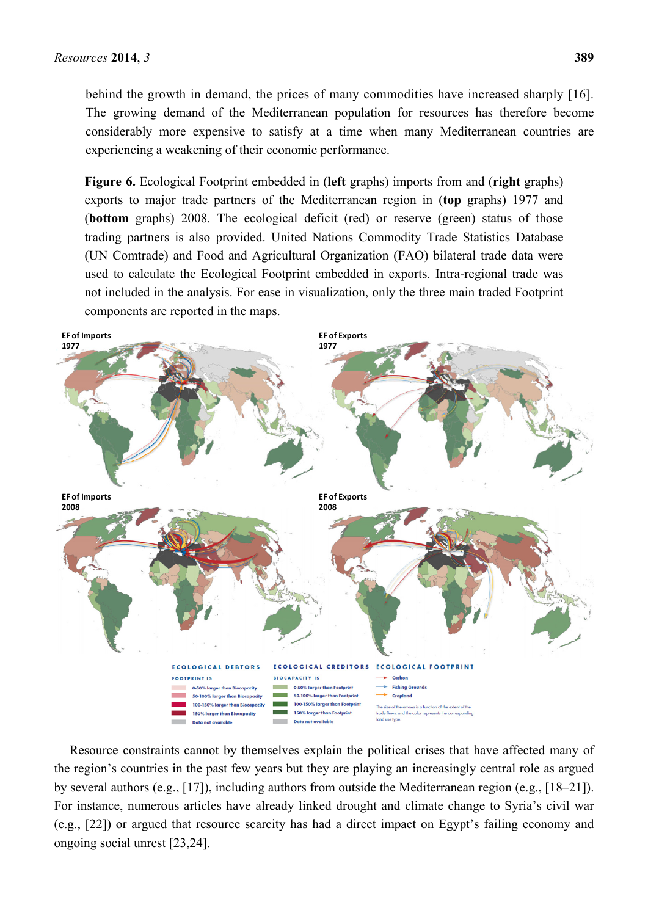behind the growth in demand, the prices of many commodities have increased sharply [16]. The growing demand of the Mediterranean population for resources has therefore become considerably more expensive to satisfy at a time when many Mediterranean countries are experiencing a weakening of their economic performance.

**Figure 6.** Ecological Footprint embedded in (**left** graphs) imports from and (**right** graphs) exports to major trade partners of the Mediterranean region in (**top** graphs) 1977 and (**bottom** graphs) 2008. The ecological deficit (red) or reserve (green) status of those trading partners is also provided. United Nations Commodity Trade Statistics Database (UN Comtrade) and Food and Agricultural Organization (FAO) bilateral trade data were used to calculate the Ecological Footprint embedded in exports. Intra-regional trade was not included in the analysis. For ease in visualization, only the three main traded Footprint components are reported in the maps.



Resource constraints cannot by themselves explain the political crises that have affected many of the region's countries in the past few years but they are playing an increasingly central role as argued by several authors (e.g., [17]), including authors from outside the Mediterranean region (e.g., [18–21]). For instance, numerous articles have already linked drought and climate change to Syria's civil war (e.g., [22]) or argued that resource scarcity has had a direct impact on Egypt's failing economy and ongoing social unrest [23,24].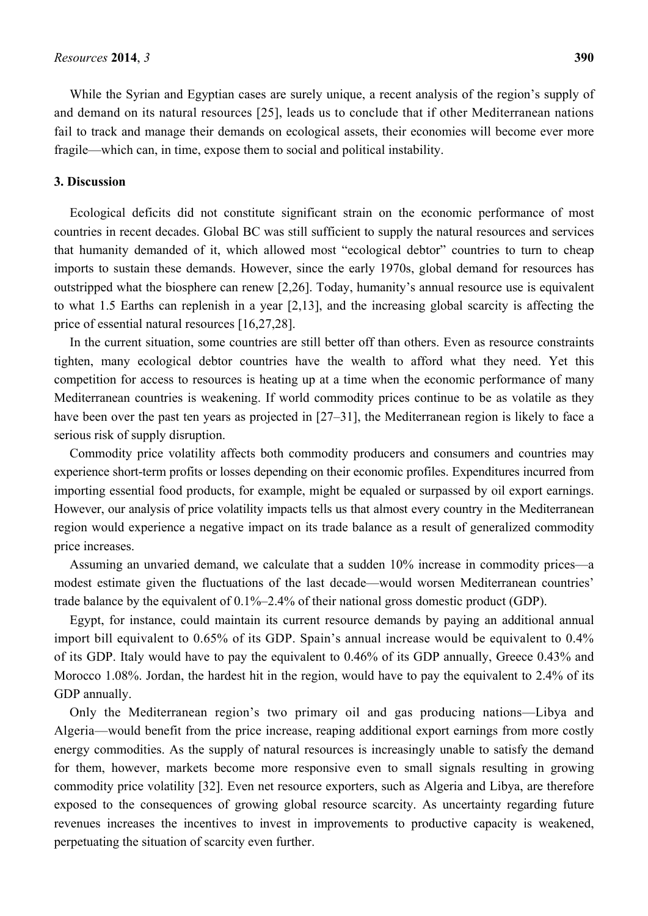While the Syrian and Egyptian cases are surely unique, a recent analysis of the region's supply of and demand on its natural resources [25], leads us to conclude that if other Mediterranean nations fail to track and manage their demands on ecological assets, their economies will become ever more fragile—which can, in time, expose them to social and political instability.

#### **3. Discussion**

Ecological deficits did not constitute significant strain on the economic performance of most countries in recent decades. Global BC was still sufficient to supply the natural resources and services that humanity demanded of it, which allowed most "ecological debtor" countries to turn to cheap imports to sustain these demands. However, since the early 1970s, global demand for resources has outstripped what the biosphere can renew [2,26]. Today, humanity's annual resource use is equivalent to what 1.5 Earths can replenish in a year [2,13], and the increasing global scarcity is affecting the price of essential natural resources [16,27,28].

In the current situation, some countries are still better off than others. Even as resource constraints tighten, many ecological debtor countries have the wealth to afford what they need. Yet this competition for access to resources is heating up at a time when the economic performance of many Mediterranean countries is weakening. If world commodity prices continue to be as volatile as they have been over the past ten years as projected in [27–31], the Mediterranean region is likely to face a serious risk of supply disruption.

Commodity price volatility affects both commodity producers and consumers and countries may experience short-term profits or losses depending on their economic profiles. Expenditures incurred from importing essential food products, for example, might be equaled or surpassed by oil export earnings. However, our analysis of price volatility impacts tells us that almost every country in the Mediterranean region would experience a negative impact on its trade balance as a result of generalized commodity price increases.

Assuming an unvaried demand, we calculate that a sudden 10% increase in commodity prices—a modest estimate given the fluctuations of the last decade—would worsen Mediterranean countries' trade balance by the equivalent of 0.1%–2.4% of their national gross domestic product (GDP).

Egypt, for instance, could maintain its current resource demands by paying an additional annual import bill equivalent to 0.65% of its GDP. Spain's annual increase would be equivalent to 0.4% of its GDP. Italy would have to pay the equivalent to 0.46% of its GDP annually, Greece 0.43% and Morocco 1.08%. Jordan, the hardest hit in the region, would have to pay the equivalent to 2.4% of its GDP annually.

Only the Mediterranean region's two primary oil and gas producing nations—Libya and Algeria—would benefit from the price increase, reaping additional export earnings from more costly energy commodities. As the supply of natural resources is increasingly unable to satisfy the demand for them, however, markets become more responsive even to small signals resulting in growing commodity price volatility [32]. Even net resource exporters, such as Algeria and Libya, are therefore exposed to the consequences of growing global resource scarcity. As uncertainty regarding future revenues increases the incentives to invest in improvements to productive capacity is weakened, perpetuating the situation of scarcity even further.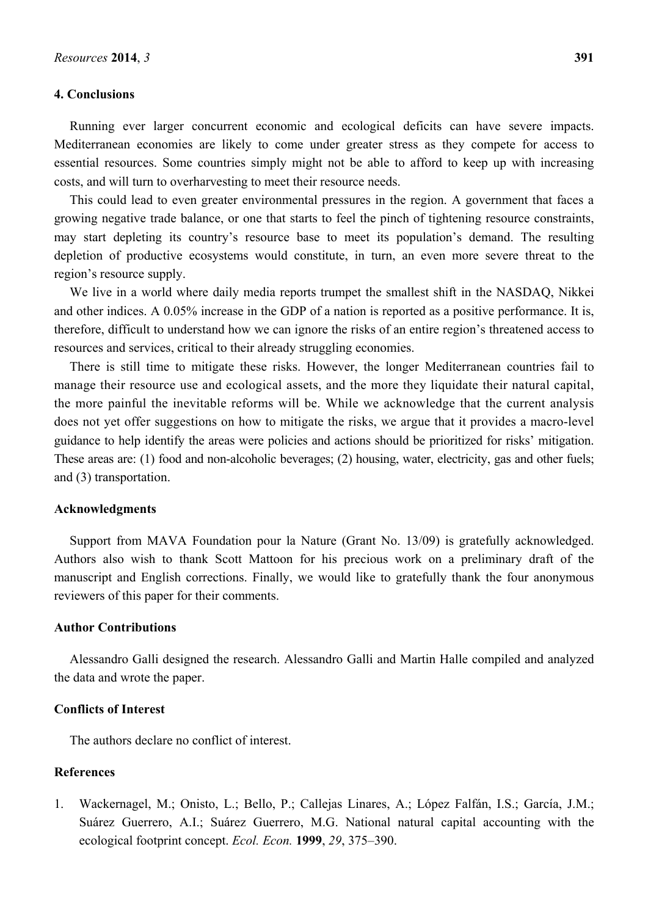#### **4. Conclusions**

Running ever larger concurrent economic and ecological deficits can have severe impacts. Mediterranean economies are likely to come under greater stress as they compete for access to essential resources. Some countries simply might not be able to afford to keep up with increasing costs, and will turn to overharvesting to meet their resource needs.

This could lead to even greater environmental pressures in the region. A government that faces a growing negative trade balance, or one that starts to feel the pinch of tightening resource constraints, may start depleting its country's resource base to meet its population's demand. The resulting depletion of productive ecosystems would constitute, in turn, an even more severe threat to the region's resource supply.

We live in a world where daily media reports trumpet the smallest shift in the NASDAQ, Nikkei and other indices. A 0.05% increase in the GDP of a nation is reported as a positive performance. It is, therefore, difficult to understand how we can ignore the risks of an entire region's threatened access to resources and services, critical to their already struggling economies.

There is still time to mitigate these risks. However, the longer Mediterranean countries fail to manage their resource use and ecological assets, and the more they liquidate their natural capital, the more painful the inevitable reforms will be. While we acknowledge that the current analysis does not yet offer suggestions on how to mitigate the risks, we argue that it provides a macro-level guidance to help identify the areas were policies and actions should be prioritized for risks' mitigation. These areas are: (1) food and non-alcoholic beverages; (2) housing, water, electricity, gas and other fuels; and (3) transportation.

#### **Acknowledgments**

Support from MAVA Foundation pour la Nature (Grant No. 13/09) is gratefully acknowledged. Authors also wish to thank Scott Mattoon for his precious work on a preliminary draft of the manuscript and English corrections. Finally, we would like to gratefully thank the four anonymous reviewers of this paper for their comments.

#### **Author Contributions**

Alessandro Galli designed the research. Alessandro Galli and Martin Halle compiled and analyzed the data and wrote the paper.

### **Conflicts of Interest**

The authors declare no conflict of interest.

#### **References**

1. Wackernagel, M.; Onisto, L.; Bello, P.; Callejas Linares, A.; López Falfán, I.S.; García, J.M.; Suárez Guerrero, A.I.; Suárez Guerrero, M.G. National natural capital accounting with the ecological footprint concept. *Ecol. Econ.* **1999**, *29*, 375–390.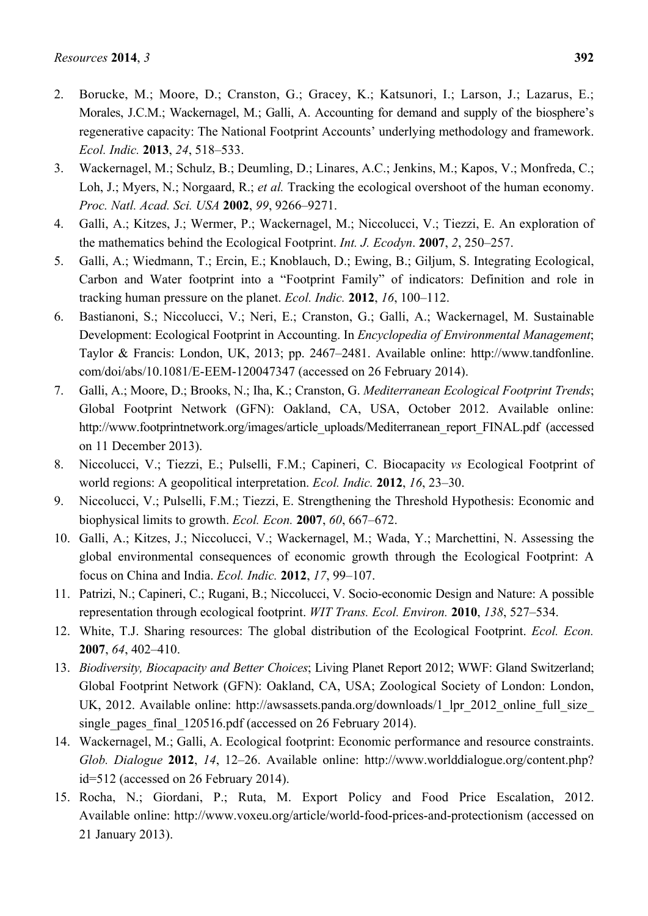- 2. Borucke, M.; Moore, D.; Cranston, G.; Gracey, K.; Katsunori, I.; Larson, J.; Lazarus, E.; Morales, J.C.M.; Wackernagel, M.; Galli, A. Accounting for demand and supply of the biosphere's regenerative capacity: The National Footprint Accounts' underlying methodology and framework. *Ecol. Indic.* **2013**, *24*, 518–533.
- 3. Wackernagel, M.; Schulz, B.; Deumling, D.; Linares, A.C.; Jenkins, M.; Kapos, V.; Monfreda, C.; Loh, J.; Myers, N.; Norgaard, R.; *et al.* Tracking the ecological overshoot of the human economy. *Proc. Natl. Acad. Sci. USA* **2002**, *99*, 9266–9271.
- 4. Galli, A.; Kitzes, J.; Wermer, P.; Wackernagel, M.; Niccolucci, V.; Tiezzi, E. An exploration of the mathematics behind the Ecological Footprint. *Int. J. Ecodyn*. **2007**, *2*, 250–257.
- 5. Galli, A.; Wiedmann, T.; Ercin, E.; Knoblauch, D.; Ewing, B.; Giljum, S. Integrating Ecological, Carbon and Water footprint into a "Footprint Family" of indicators: Definition and role in tracking human pressure on the planet. *Ecol. Indic.* **2012**, *16*, 100–112.
- 6. Bastianoni, S.; Niccolucci, V.; Neri, E.; Cranston, G.; Galli, A.; Wackernagel, M. Sustainable Development: Ecological Footprint in Accounting. In *Encyclopedia of Environmental Management*; Taylor & Francis: London, UK, 2013; pp. 2467–2481. Available online: http://www.tandfonline. com/doi/abs/10.1081/E-EEM-120047347 (accessed on 26 February 2014).
- 7. Galli, A.; Moore, D.; Brooks, N.; Iha, K.; Cranston, G. *Mediterranean Ecological Footprint Trends*; Global Footprint Network (GFN): Oakland, CA, USA, October 2012. Available online: http://www.footprintnetwork.org/images/article\_uploads/Mediterranean\_report\_FINAL.pdf (accessed on 11 December 2013).
- 8. Niccolucci, V.; Tiezzi, E.; Pulselli, F.M.; Capineri, C. Biocapacity *vs* Ecological Footprint of world regions: A geopolitical interpretation. *Ecol. Indic.* **2012**, *16*, 23–30.
- 9. Niccolucci, V.; Pulselli, F.M.; Tiezzi, E. Strengthening the Threshold Hypothesis: Economic and biophysical limits to growth. *Ecol. Econ.* **2007**, *60*, 667–672.
- 10. Galli, A.; Kitzes, J.; Niccolucci, V.; Wackernagel, M.; Wada, Y.; Marchettini, N. Assessing the global environmental consequences of economic growth through the Ecological Footprint: A focus on China and India. *Ecol. Indic.* **2012**, *17*, 99–107.
- 11. Patrizi, N.; Capineri, C.; Rugani, B.; Niccolucci, V. Socio-economic Design and Nature: A possible representation through ecological footprint. *WIT Trans. Ecol. Environ.* **2010**, *138*, 527–534.
- 12. White, T.J. Sharing resources: The global distribution of the Ecological Footprint. *Ecol. Econ.* **2007**, *64*, 402–410.
- 13. *Biodiversity, Biocapacity and Better Choices*; Living Planet Report 2012; WWF: Gland Switzerland; Global Footprint Network (GFN): Oakland, CA, USA; Zoological Society of London: London, UK, 2012. Available online: http://awsassets.panda.org/downloads/1 lpr\_2012\_online\_full\_size single pages final 120516.pdf (accessed on 26 February 2014).
- 14. Wackernagel, M.; Galli, A. Ecological footprint: Economic performance and resource constraints. *Glob. Dialogue* **2012**, *14*, 12–26. Available online: http://www.worlddialogue.org/content.php? id=512 (accessed on 26 February 2014).
- 15. Rocha, N.; Giordani, P.; Ruta, M. Export Policy and Food Price Escalation, 2012. Available online: http://www.voxeu.org/article/world-food-prices-and-protectionism (accessed on 21 January 2013).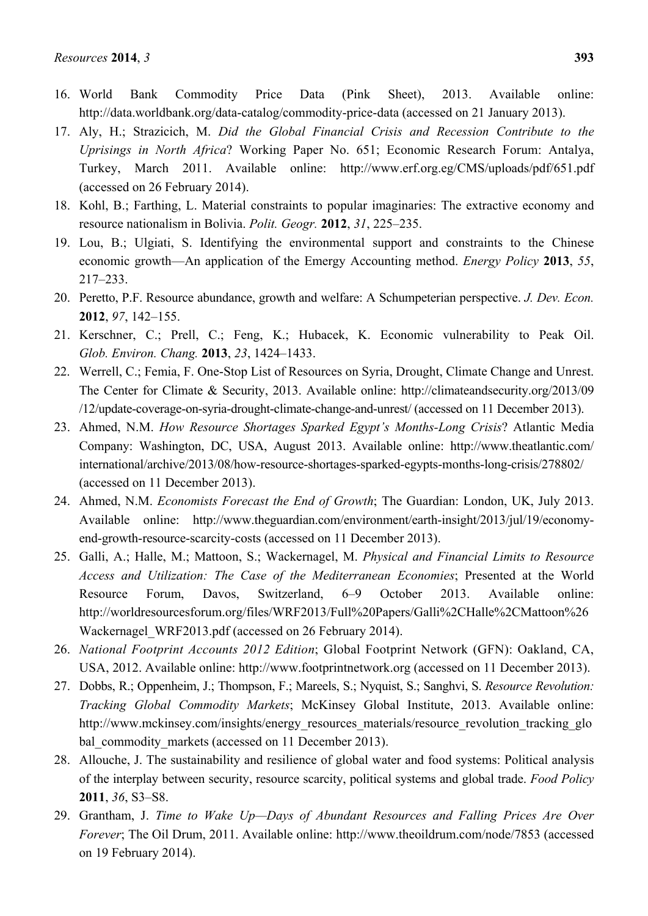- 16. World Bank Commodity Price Data (Pink Sheet), 2013. Available online: http://data.worldbank.org/data-catalog/commodity-price-data (accessed on 21 January 2013).
- 17. Aly, H.; Strazicich, M. *Did the Global Financial Crisis and Recession Contribute to the Uprisings in North Africa*? Working Paper No. 651; Economic Research Forum: Antalya, Turkey, March 2011. Available online: http://www.erf.org.eg/CMS/uploads/pdf/651.pdf (accessed on 26 February 2014).
- 18. Kohl, B.; Farthing, L. Material constraints to popular imaginaries: The extractive economy and resource nationalism in Bolivia. *Polit. Geogr.* **2012**, *31*, 225–235.
- 19. Lou, B.; Ulgiati, S. Identifying the environmental support and constraints to the Chinese economic growth—An application of the Emergy Accounting method. *Energy Policy* **2013**, *55*, 217–233.
- 20. Peretto, P.F. Resource abundance, growth and welfare: A Schumpeterian perspective. *J. Dev. Econ.* **2012**, *97*, 142–155.
- 21. Kerschner, C.; Prell, C.; Feng, K.; Hubacek, K. Economic vulnerability to Peak Oil. *Glob. Environ. Chang.* **2013**, *23*, 1424–1433.
- 22. Werrell, C.; Femia, F. One-Stop List of Resources on Syria, Drought, Climate Change and Unrest. The Center for Climate & Security, 2013. Available online: http://climateandsecurity.org/2013/09 /12/update-coverage-on-syria-drought-climate-change-and-unrest/ (accessed on 11 December 2013).
- 23. Ahmed, N.M. *How Resource Shortages Sparked Egypt's Months-Long Crisis*? Atlantic Media Company: Washington, DC, USA, August 2013. Available online: http://www.theatlantic.com/ international/archive/2013/08/how-resource-shortages-sparked-egypts-months-long-crisis/278802/ (accessed on 11 December 2013).
- 24. Ahmed, N.M. *Economists Forecast the End of Growth*; The Guardian: London, UK, July 2013. Available online: http://www.theguardian.com/environment/earth-insight/2013/jul/19/economyend-growth-resource-scarcity-costs (accessed on 11 December 2013).
- 25. Galli, A.; Halle, M.; Mattoon, S.; Wackernagel, M. *Physical and Financial Limits to Resource Access and Utilization: The Case of the Mediterranean Economies*; Presented at the World Resource Forum, Davos, Switzerland, 6–9 October 2013. Available online: http://worldresourcesforum.org/files/WRF2013/Full%20Papers/Galli%2CHalle%2CMattoon%26 Wackernagel WRF2013.pdf (accessed on 26 February 2014).
- 26. *National Footprint Accounts 2012 Edition*; Global Footprint Network (GFN): Oakland, CA, USA, 2012. Available online: http://www.footprintnetwork.org (accessed on 11 December 2013).
- 27. Dobbs, R.; Oppenheim, J.; Thompson, F.; Mareels, S.; Nyquist, S.; Sanghvi, S. *Resource Revolution: Tracking Global Commodity Markets*; McKinsey Global Institute, 2013. Available online: http://www.mckinsey.com/insights/energy\_resources\_materials/resource\_revolution\_tracking\_glo bal\_commodity\_markets (accessed on 11 December 2013).
- 28. Allouche, J. The sustainability and resilience of global water and food systems: Political analysis of the interplay between security, resource scarcity, political systems and global trade. *Food Policy* **2011**, *36*, S3–S8.
- 29. Grantham, J. *Time to Wake Up—Days of Abundant Resources and Falling Prices Are Over Forever*; The Oil Drum, 2011. Available online: http://www.theoildrum.com/node/7853 (accessed on 19 February 2014).